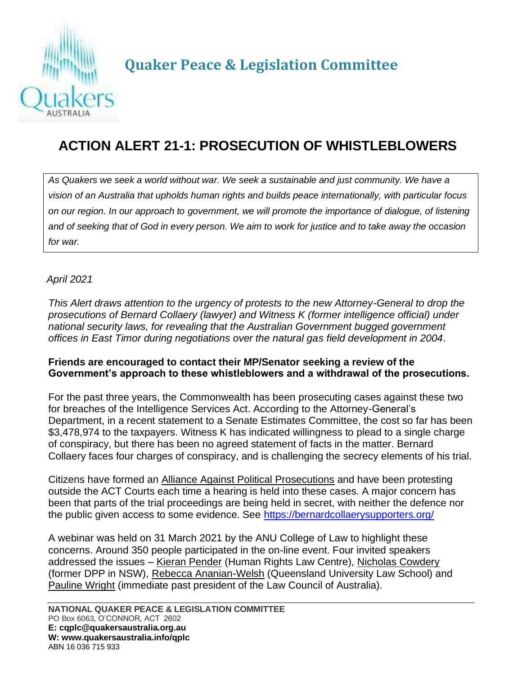

**Quaker Peace & Legislation Committee**

## **ACTION ALERT 21-1: PROSECUTION OF WHISTLEBLOWERS**

*As Quakers we seek a world without war. We seek a sustainable and just community. We have a vision of an Australia that upholds human rights and builds peace internationally, with particular focus on our region. In our approach to government, we will promote the importance of dialogue, of listening and of seeking that of God in every person. We aim to work for justice and to take away the occasion for war.*

*April 2021*

*This Alert draws attention to the urgency of protests to the new Attorney-General to drop the prosecutions of Bernard Collaery (lawyer) and Witness K (former intelligence official) under national security laws, for revealing that the Australian Government bugged government offices in East Timor during negotiations over the natural gas field development in 2004*.

## **Friends are encouraged to contact their MP/Senator seeking a review of the Government's approach to these whistleblowers and a withdrawal of the prosecutions.**

For the past three years, the Commonwealth has been prosecuting cases against these two for breaches of the Intelligence Services Act. According to the Attorney-General's Department, in a recent statement to a Senate Estimates Committee, the cost so far has been \$3,478,974 to the taxpayers. Witness K has indicated willingness to plead to a single charge of conspiracy, but there has been no agreed statement of facts in the matter. Bernard Collaery faces four charges of conspiracy, and is challenging the secrecy elements of his trial.

Citizens have formed an Alliance Against Political Prosecutions and have been protesting outside the ACT Courts each time a hearing is held into these cases. A major concern has been that parts of the trial proceedings are being held in secret, with neither the defence nor the public given access to some evidence. See<https://bernardcollaerysupporters.org/>

A webinar was held on 31 March 2021 by the ANU College of Law to highlight these concerns. Around 350 people participated in the on-line event. Four invited speakers addressed the issues – Kieran Pender (Human Rights Law Centre), Nicholas Cowdery (former DPP in NSW), Rebecca Ananian-Welsh (Queensland University Law School) and Pauline Wright (immediate past president of the Law Council of Australia).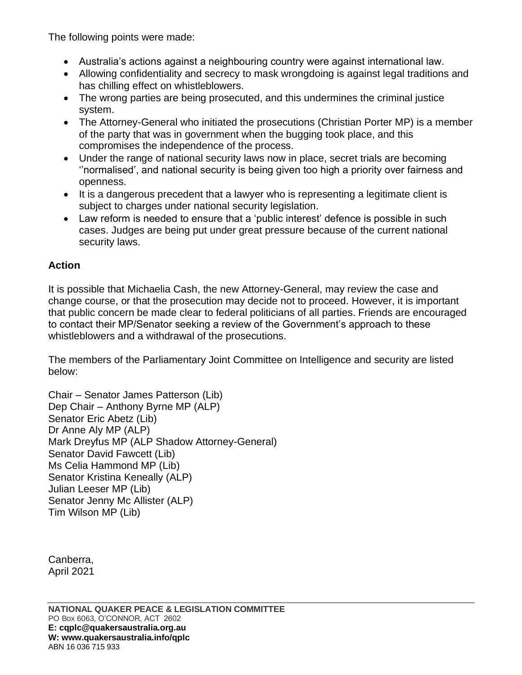The following points were made:

- Australia's actions against a neighbouring country were against international law.
- Allowing confidentiality and secrecy to mask wrongdoing is against legal traditions and has chilling effect on whistleblowers.
- The wrong parties are being prosecuted, and this undermines the criminal justice system.
- The Attorney-General who initiated the prosecutions (Christian Porter MP) is a member of the party that was in government when the bugging took place, and this compromises the independence of the process.
- Under the range of national security laws now in place, secret trials are becoming ''normalised', and national security is being given too high a priority over fairness and openness.
- It is a dangerous precedent that a lawyer who is representing a legitimate client is subject to charges under national security legislation.
- Law reform is needed to ensure that a 'public interest' defence is possible in such cases. Judges are being put under great pressure because of the current national security laws.

## **Action**

It is possible that Michaelia Cash, the new Attorney-General, may review the case and change course, or that the prosecution may decide not to proceed. However, it is important that public concern be made clear to federal politicians of all parties. Friends are encouraged to contact their MP/Senator seeking a review of the Government's approach to these whistleblowers and a withdrawal of the prosecutions.

The members of the Parliamentary Joint Committee on Intelligence and security are listed below:

```
Chair – Senator James Patterson (Lib)
Dep Chair – Anthony Byrne MP (ALP)
Senator Eric Abetz (Lib)
Dr Anne Aly MP (ALP)
Mark Dreyfus MP (ALP Shadow Attorney-General)
Senator David Fawcett (Lib)
Ms Celia Hammond MP (Lib)
Senator Kristina Keneally (ALP)
Julian Leeser MP (Lib)
Senator Jenny Mc Allister (ALP)
Tim Wilson MP (Lib)
```
Canberra, April 2021